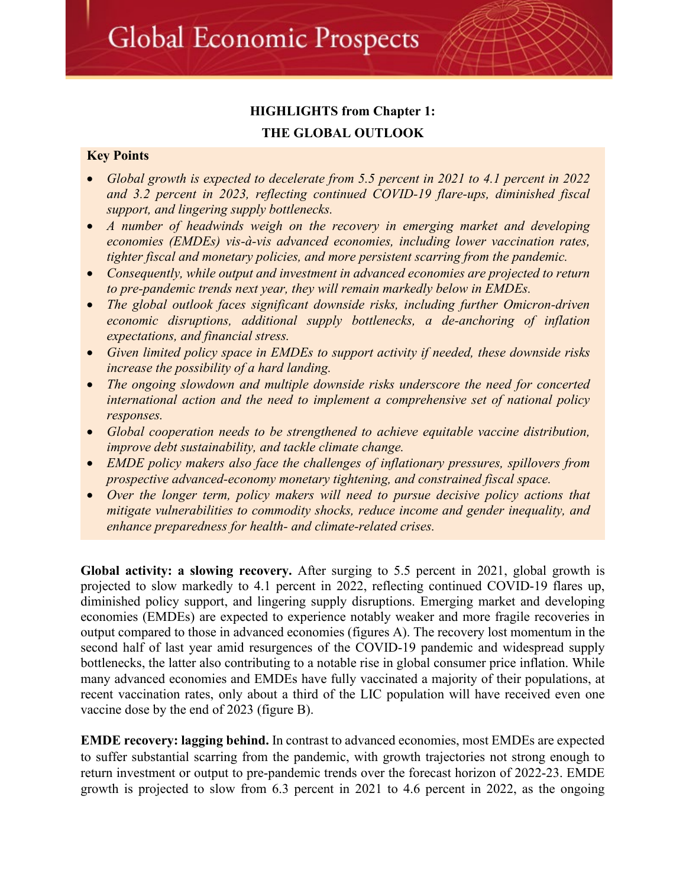## **HIGHLIGHTS from Chapter 1: THE GLOBAL OUTLOOK**

#### **Key Points**

- *Global growth is expected to decelerate from 5.5 percent in 2021 to 4.1 percent in 2022 and 3.2 percent in 2023, reflecting continued COVID-19 flare-ups, diminished fiscal support, and lingering supply bottlenecks.*
- *A number of headwinds weigh on the recovery in emerging market and developing economies (EMDEs) vis-à-vis advanced economies, including lower vaccination rates, tighter fiscal and monetary policies, and more persistent scarring from the pandemic.*
- *Consequently, while output and investment in advanced economies are projected to return to pre-pandemic trends next year, they will remain markedly below in EMDEs.*
- *The global outlook faces significant downside risks, including further Omicron-driven economic disruptions, additional supply bottlenecks, a de-anchoring of inflation expectations, and financial stress.*
- *Given limited policy space in EMDEs to support activity if needed, these downside risks increase the possibility of a hard landing.*
- *The ongoing slowdown and multiple downside risks underscore the need for concerted international action and the need to implement a comprehensive set of national policy responses.*
- *Global cooperation needs to be strengthened to achieve equitable vaccine distribution, improve debt sustainability, and tackle climate change.*
- *EMDE policy makers also face the challenges of inflationary pressures, spillovers from prospective advanced-economy monetary tightening, and constrained fiscal space.*
- *Over the longer term, policy makers will need to pursue decisive policy actions that mitigate vulnerabilities to commodity shocks, reduce income and gender inequality, and enhance preparedness for health- and climate-related crises.*

**Global activity: a slowing recovery.** After surging to 5.5 percent in 2021, global growth is projected to slow markedly to 4.1 percent in 2022, reflecting continued COVID-19 flares up, diminished policy support, and lingering supply disruptions. Emerging market and developing economies (EMDEs) are expected to experience notably weaker and more fragile recoveries in output compared to those in advanced economies (figures A). The recovery lost momentum in the second half of last year amid resurgences of the COVID-19 pandemic and widespread supply bottlenecks, the latter also contributing to a notable rise in global consumer price inflation. While many advanced economies and EMDEs have fully vaccinated a majority of their populations, at recent vaccination rates, only about a third of the LIC population will have received even one vaccine dose by the end of 2023 (figure B).

**EMDE recovery: lagging behind.** In contrast to advanced economies, most EMDEs are expected to suffer substantial scarring from the pandemic, with growth trajectories not strong enough to return investment or output to pre-pandemic trends over the forecast horizon of 2022-23. EMDE growth is projected to slow from 6.3 percent in 2021 to 4.6 percent in 2022, as the ongoing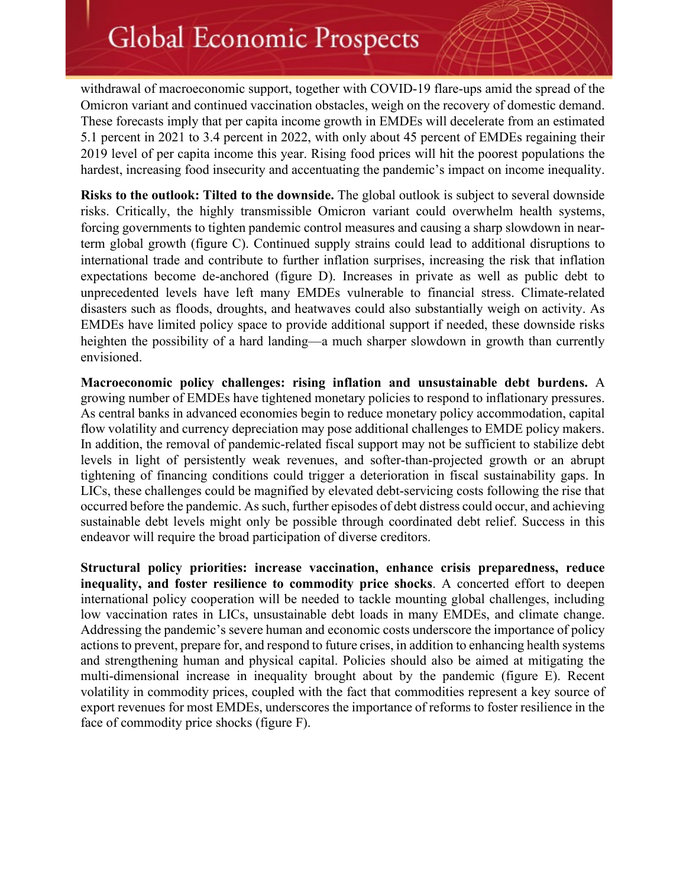withdrawal of macroeconomic support, together with COVID-19 flare-ups amid the spread of the Omicron variant and continued vaccination obstacles, weigh on the recovery of domestic demand. These forecasts imply that per capita income growth in EMDEs will decelerate from an estimated 5.1 percent in 2021 to 3.4 percent in 2022, with only about 45 percent of EMDEs regaining their 2019 level of per capita income this year. Rising food prices will hit the poorest populations the hardest, increasing food insecurity and accentuating the pandemic's impact on income inequality.

**Risks to the outlook: Tilted to the downside.** The global outlook is subject to several downside risks. Critically, the highly transmissible Omicron variant could overwhelm health systems, forcing governments to tighten pandemic control measures and causing a sharp slowdown in nearterm global growth (figure C). Continued supply strains could lead to additional disruptions to international trade and contribute to further inflation surprises, increasing the risk that inflation expectations become de-anchored (figure D). Increases in private as well as public debt to unprecedented levels have left many EMDEs vulnerable to financial stress. Climate-related disasters such as floods, droughts, and heatwaves could also substantially weigh on activity. As EMDEs have limited policy space to provide additional support if needed, these downside risks heighten the possibility of a hard landing—a much sharper slowdown in growth than currently envisioned.

**Macroeconomic policy challenges: rising inflation and unsustainable debt burdens.** A growing number of EMDEs have tightened monetary policies to respond to inflationary pressures. As central banks in advanced economies begin to reduce monetary policy accommodation, capital flow volatility and currency depreciation may pose additional challenges to EMDE policy makers. In addition, the removal of pandemic-related fiscal support may not be sufficient to stabilize debt levels in light of persistently weak revenues, and softer-than-projected growth or an abrupt tightening of financing conditions could trigger a deterioration in fiscal sustainability gaps. In LICs, these challenges could be magnified by elevated debt-servicing costs following the rise that occurred before the pandemic. As such, further episodes of debt distress could occur, and achieving sustainable debt levels might only be possible through coordinated debt relief. Success in this endeavor will require the broad participation of diverse creditors.

**Structural policy priorities: increase vaccination, enhance crisis preparedness, reduce inequality, and foster resilience to commodity price shocks**. A concerted effort to deepen international policy cooperation will be needed to tackle mounting global challenges, including low vaccination rates in LICs, unsustainable debt loads in many EMDEs, and climate change. Addressing the pandemic's severe human and economic costs underscore the importance of policy actions to prevent, prepare for, and respond to future crises, in addition to enhancing health systems and strengthening human and physical capital. Policies should also be aimed at mitigating the multi-dimensional increase in inequality brought about by the pandemic (figure E). Recent volatility in commodity prices, coupled with the fact that commodities represent a key source of export revenues for most EMDEs, underscores the importance of reforms to foster resilience in the face of commodity price shocks (figure F).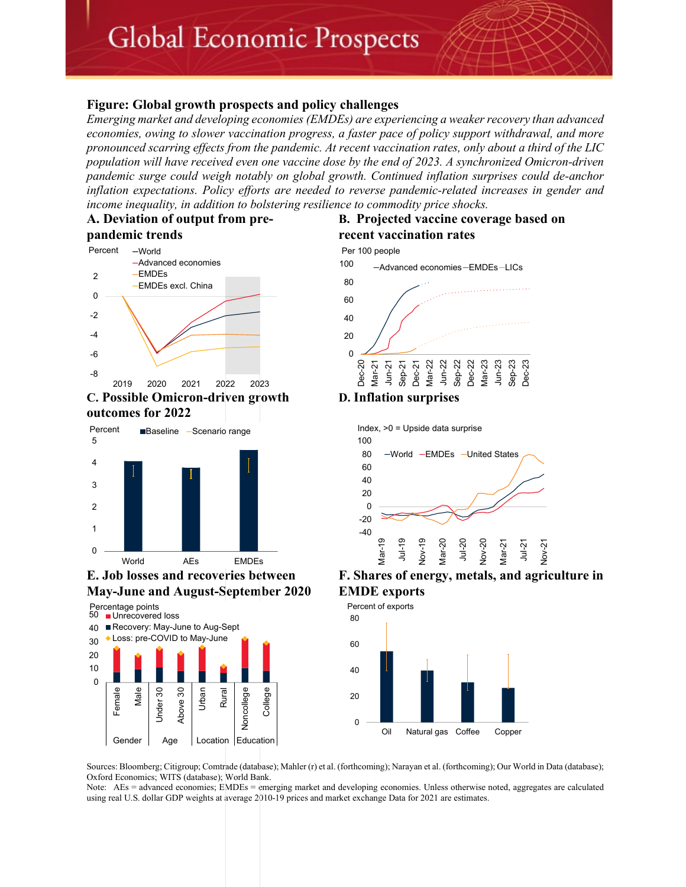#### **Figure: Global growth prospects and policy challenges**

*Emerging market and developing economies (EMDEs) are experiencing a weaker recovery than advanced economies, owing to slower vaccination progress, a faster pace of policy support withdrawal, and more pronounced scarring effects from the pandemic. At recent vaccination rates, only about a third of the LIC population will have received even one vaccine dose by the end of 2023. A synchronized Omicron-driven pandemic surge could weigh notably on global growth. Continued inflation surprises could de-anchor inflation expectations. Policy efforts are needed to reverse pandemic-related increases in gender and income inequality, in addition to bolstering resilience to commodity price shocks.* 

#### **A. Deviation of output from prepandemic trends**



**C. Possible Omicron-driven growth outcomes for 2022**





### **E. Job losses and recoveries between May-June and August-September 2020**



## **B. Projected vaccine coverage based on recent vaccination rates**





**F. Shares of energy, metals, and agriculture in EMDE exports**



Sources: Bloomberg; Citigroup; Comtrade (database); Mahler (r) et al. (forthcoming); Narayan et al. (forthcoming); Our World in Data (database); Oxford Economics; WITS (database); World Bank.

Note: AEs = advanced economies; EMDEs = emerging market and developing economies. Unless otherwise noted, aggregates are calculated using real U.S. dollar GDP weights at average 2010-19 prices and market exchange Data for 2021 are estimates.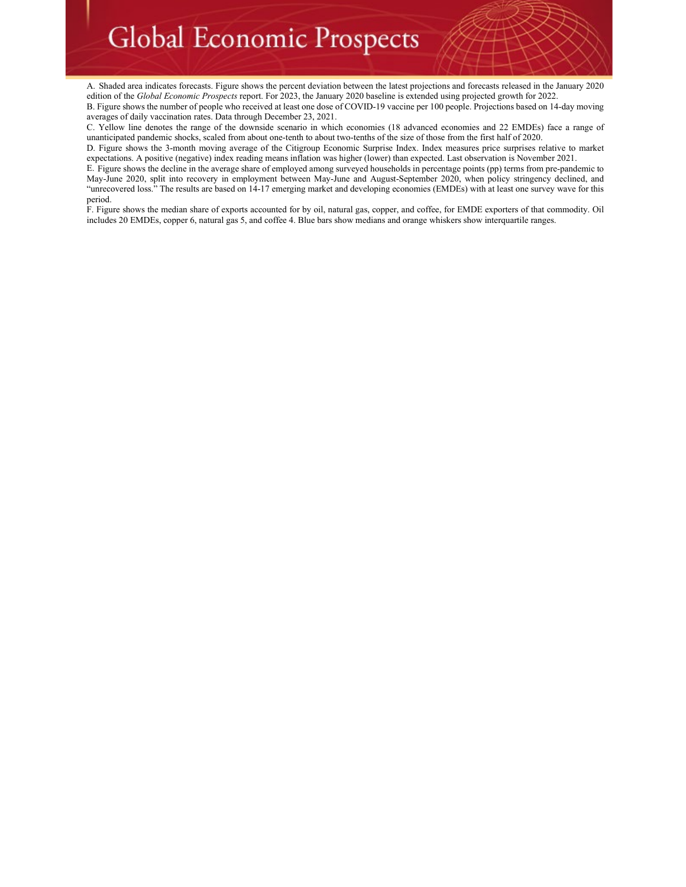A. Shaded area indicates forecasts. Figure shows the percent deviation between the latest projections and forecasts released in the January 2020 edition of the *Global Economic Prospects* report. For 2023, the January 2020 baseline is extended using projected growth for 2022.

B. Figure shows the number of people who received at least one dose of COVID-19 vaccine per 100 people. Projections based on 14-day moving averages of daily vaccination rates. Data through December 23, 2021.

C. Yellow line denotes the range of the downside scenario in which economies (18 advanced economies and 22 EMDEs) face a range of unanticipated pandemic shocks, scaled from about one-tenth to about two-tenths of the size of those from the first half of 2020.

D. Figure shows the 3-month moving average of the Citigroup Economic Surprise Index. Index measures price surprises relative to market expectations. A positive (negative) index reading means inflation was higher (lower) than expected. Last observation is November 2021.

E. Figure shows the decline in the average share of employed among surveyed households in percentage points (pp) terms from pre-pandemic to May-June 2020, split into recovery in employment between May-June and August-September 2020, when policy stringency declined, and "unrecovered loss." The results are based on 14-17 emerging market and developing economies (EMDEs) with at least one survey wave for this period.

F. Figure shows the median share of exports accounted for by oil, natural gas, copper, and coffee, for EMDE exporters of that commodity. Oil includes 20 EMDEs, copper 6, natural gas 5, and coffee 4. Blue bars show medians and orange whiskers show interquartile ranges.